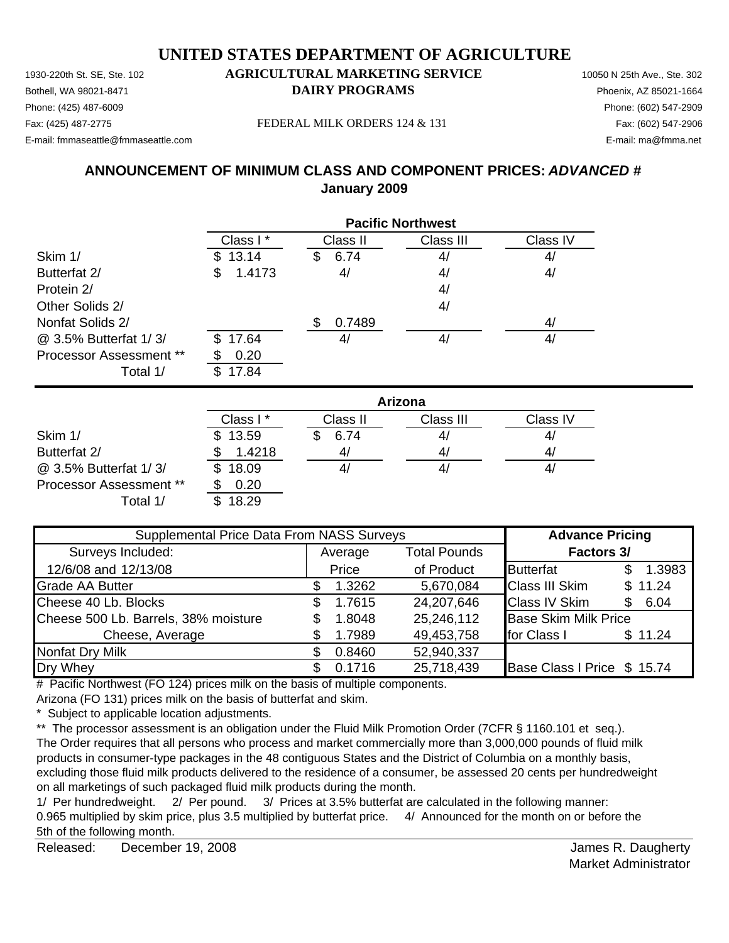1930-220th St. SE, Ste. 102 **AGRICULTURAL MARKETING SERVICE** 10050 N 25th Ave., Ste. 302 Bothell, WA 98021-8471 **DAIRY PROGRAMS** Phoenix, AZ 85021-1664

### Phone: (425) 487-6009 Phone: (602) 547-2909

E-mail: fmmaseattle@fmmaseattle.com E-mail: ma@fmma.net

Fax: (425) 487-2775 FEDERAL MILK ORDERS 124 & 131

### **ANNOUNCEMENT OF MINIMUM CLASS AND COMPONENT PRICES:** *ADVANCED #* **January 2009**

|                         | <b>Pacific Northwest</b> |           |           |          |  |
|-------------------------|--------------------------|-----------|-----------|----------|--|
|                         | Class I*                 | Class II  | Class III | Class IV |  |
| Skim 1/                 | \$13.14                  | 6.74<br>S | 4/        | 4/       |  |
| Butterfat 2/            | 1.4173<br>\$             | 4/        | 4/        | 4/       |  |
| Protein 2/              |                          |           | 4/        |          |  |
| Other Solids 2/         |                          |           | 4/        |          |  |
| Nonfat Solids 2/        |                          | 0.7489    |           | 4/       |  |
| @ 3.5% Butterfat 1/3/   | 17.64<br>SS.             | 4         | 4/        | 41       |  |
| Processor Assessment ** | 0.20                     |           |           |          |  |
| Total 1/                | 17.84                    |           |           |          |  |

|                                | Arizona  |          |           |                |  |
|--------------------------------|----------|----------|-----------|----------------|--|
|                                | Class I* | Class II | Class III | Class IV       |  |
| Skim 1/                        | \$13.59  | 6.74     | 4/        | 4,             |  |
| Butterfat 2/                   | 1.4218   | 41       | 4/        | 4 <sub>l</sub> |  |
| @ 3.5% Butterfat 1/3/          | \$18.09  |          | 41        | 4,             |  |
| <b>Processor Assessment **</b> | 0.20     |          |           |                |  |
| Total 1/                       | 18.29    |          |           |                |  |

| Supplemental Price Data From NASS Surveys |                                |        |            | <b>Advance Pricing</b>      |             |  |            |  |
|-------------------------------------------|--------------------------------|--------|------------|-----------------------------|-------------|--|------------|--|
| Surveys Included:                         | <b>Total Pounds</b><br>Average |        |            |                             |             |  | Factors 3/ |  |
| 12/6/08 and 12/13/08                      |                                | Price  | of Product | <b>Butterfat</b>            | 1.3983      |  |            |  |
| <b>Grade AA Butter</b>                    |                                | 1.3262 | 5,670,084  | <b>Class III Skim</b>       | \$11.24     |  |            |  |
| Cheese 40 Lb. Blocks                      |                                | 1.7615 | 24,207,646 | <b>Class IV Skim</b>        | 6.04<br>\$. |  |            |  |
| Cheese 500 Lb. Barrels, 38% moisture      |                                | 1.8048 | 25,246,112 | <b>Base Skim Milk Price</b> |             |  |            |  |
| Cheese, Average                           |                                | 1.7989 | 49,453,758 | for Class I                 | \$11.24     |  |            |  |
| <b>Nonfat Dry Milk</b>                    |                                | 0.8460 | 52,940,337 |                             |             |  |            |  |
| Dry Whey                                  |                                | 0.1716 | 25,718,439 | Base Class I Price \$ 15.74 |             |  |            |  |

# Pacific Northwest (FO 124) prices milk on the basis of multiple components.

Arizona (FO 131) prices milk on the basis of butterfat and skim.

\* Subject to applicable location adjustments.

\*\* The processor assessment is an obligation under the Fluid Milk Promotion Order (7CFR § 1160.101 et seq.). The Order requires that all persons who process and market commercially more than 3,000,000 pounds of fluid milk products in consumer-type packages in the 48 contiguous States and the District of Columbia on a monthly basis, excluding those fluid milk products delivered to the residence of a consumer, be assessed 20 cents per hundredweight on all marketings of such packaged fluid milk products during the month.

1/ Per hundredweight. 2/ Per pound. 3/ Prices at 3.5% butterfat are calculated in the following manner: 0.965 multiplied by skim price, plus 3.5 multiplied by butterfat price. 4/ Announced for the month on or before the 5th of the following month.

Released: December 19, 2008 **Secure 2008 Released: December 19, 2008 Secure 2008 Secure 2008 Secure 2008 Secure 2008 Secure 2008 Secure 2008 Secure 2008 Secure 2009 Secure 2009 Secure 2009 Secure 20** December 19, 2008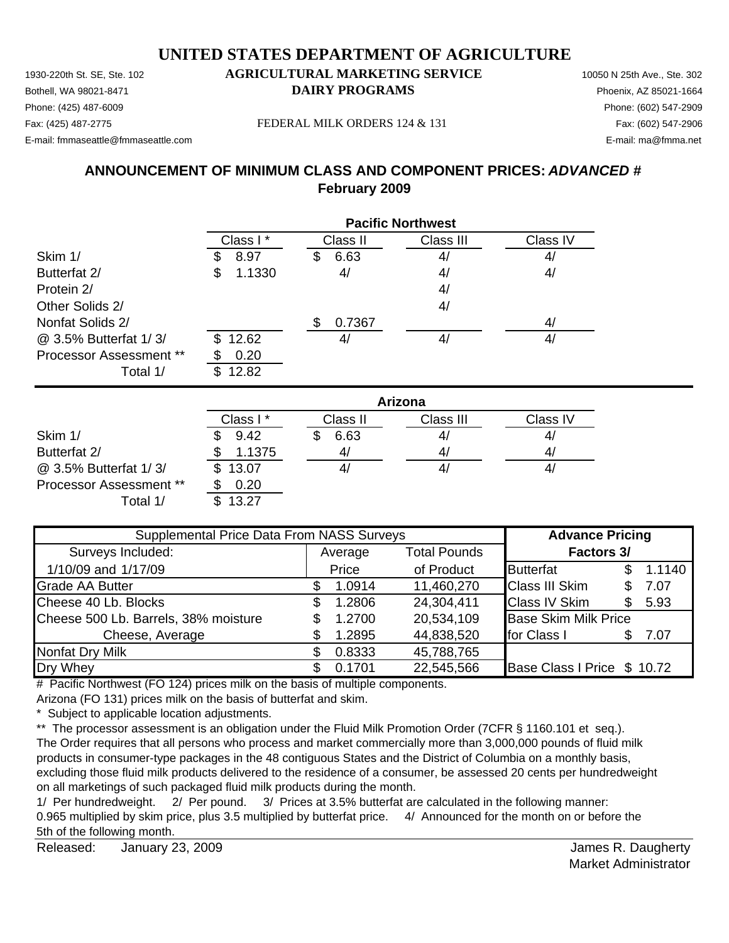#### 1930-220th St. SE, Ste. 102 **AGRICULTURAL MARKETING SERVICE** 10050 N 25th Ave., Ste. 302 **UNITED STATES DEPARTMENT OF AGRICULTURE**

Bothell, WA 98021-8471 **DAIRY PROGRAMS** Phoenix, AZ 85021-1664 Phone: (425) 487-6009 Phone: (602) 547-2909 Fax: (425) 487-2775 Fax: (602) 547-2906 FEDERAL MILK ORDERS 124 & 131

E-mail: fmmaseattle@fmmaseattle.com E-mail: ma@fmma.net

### **ANNOUNCEMENT OF MINIMUM CLASS AND COMPONENT PRICES:** *ADVANCED #* **February 2009**

|                         | <b>Pacific Northwest</b> |           |           |          |  |
|-------------------------|--------------------------|-----------|-----------|----------|--|
|                         | Class I*                 | Class II  | Class III | Class IV |  |
| Skim 1/                 | 8.97                     | 6.63<br>Ֆ | 4/        | 4/       |  |
| Butterfat 2/            | 1.1330<br>\$             | 4/        | 4/        | 4/       |  |
| Protein 2/              |                          |           | 4/        |          |  |
| Other Solids 2/         |                          |           | 4/        |          |  |
| Nonfat Solids 2/        |                          | 0.7367    |           | 4/       |  |
| @ 3.5% Butterfat 1/3/   | 12.62                    | 4/        | 4/        | 4/       |  |
| Processor Assessment ** | 0.20                     |           |           |          |  |
| Total 1/                | 12.82                    |           |           |          |  |

|                                | Arizona  |          |           |          |  |
|--------------------------------|----------|----------|-----------|----------|--|
|                                | Class I* | Class II | Class III | Class IV |  |
| Skim 1/                        | 9.42     | 6.63     | 4/        | 41       |  |
| Butterfat 2/                   | 1.1375   | 4/       | 4/        | 4,       |  |
| @ 3.5% Butterfat 1/3/          | \$13.07  |          | 41        | 4,       |  |
| <b>Processor Assessment **</b> | 0.20     |          |           |          |  |
| Total 1/                       | 13.27    |          |           |          |  |

| Supplemental Price Data From NASS Surveys |    |         |                     | <b>Advance Pricing</b>      |    |        |
|-------------------------------------------|----|---------|---------------------|-----------------------------|----|--------|
| Surveys Included:                         |    | Average | <b>Total Pounds</b> | <b>Factors 3/</b>           |    |        |
| 1/10/09 and 1/17/09                       |    | Price   | of Product          | <b>Butterfat</b>            |    | 1.1140 |
| <b>Grade AA Butter</b>                    |    | 1.0914  | 11,460,270          | <b>Class III Skim</b>       | S. | 7.07   |
| Cheese 40 Lb. Blocks                      | \$ | 1.2806  | 24,304,411          | <b>Class IV Skim</b>        | S  | 5.93   |
| Cheese 500 Lb. Barrels, 38% moisture      | \$ | 1.2700  | 20,534,109          | <b>Base Skim Milk Price</b> |    |        |
| Cheese, Average                           |    | 1.2895  | 44,838,520          | for Class I                 |    | 7.07   |
| Nonfat Dry Milk                           |    | 0.8333  | 45,788,765          |                             |    |        |
| Dry Whey                                  |    | 0.1701  | 22,545,566          | Base Class I Price \$ 10.72 |    |        |

# Pacific Northwest (FO 124) prices milk on the basis of multiple components.

Arizona (FO 131) prices milk on the basis of butterfat and skim.

\* Subject to applicable location adjustments.

\*\* The processor assessment is an obligation under the Fluid Milk Promotion Order (7CFR § 1160.101 et seq.). The Order requires that all persons who process and market commercially more than 3,000,000 pounds of fluid milk products in consumer-type packages in the 48 contiguous States and the District of Columbia on a monthly basis, excluding those fluid milk products delivered to the residence of a consumer, be assessed 20 cents per hundredweight on all marketings of such packaged fluid milk products during the month.

1/ Per hundredweight. 2/ Per pound. 3/ Prices at 3.5% butterfat are calculated in the following manner: 0.965 multiplied by skim price, plus 3.5 multiplied by butterfat price. 4/ Announced for the month on or before the 5th of the following month.

Released: James R. Daugherty January 23, 2009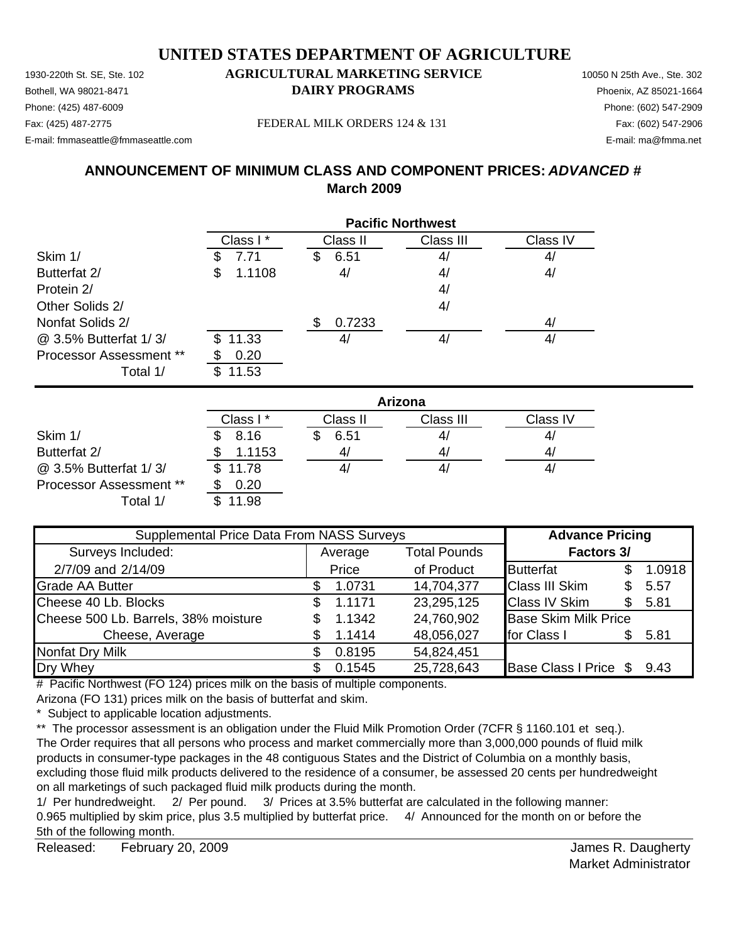1930-220th St. SE, Ste. 102 **AGRICULTURAL MARKETING SERVICE** 10050 N 25th Ave., Ste. 302 Bothell, WA 98021-8471 **DAIRY PROGRAMS** Phoenix, AZ 85021-1664

### Phone: (425) 487-6009 Phone: (602) 547-2909

E-mail: fmmaseattle@fmmaseattle.com E-mail: ma@fmma.net

Fax: (425) 487-2775 FEDERAL MILK ORDERS 124 & 131

### **ANNOUNCEMENT OF MINIMUM CLASS AND COMPONENT PRICES:** *ADVANCED #* **March 2009**

|                                | <b>Pacific Northwest</b> |           |           |                |  |
|--------------------------------|--------------------------|-----------|-----------|----------------|--|
|                                | Class I*                 | Class II  | Class III | Class IV       |  |
| Skim 1/                        | 7.71                     | 6.51<br>S | 4/        | 4 <sub>l</sub> |  |
| Butterfat 2/                   | 1.1108<br>\$             | 4/        | 4/        | 4/             |  |
| Protein 2/                     |                          |           | 4/        |                |  |
| Other Solids 2/                |                          |           | 4/        |                |  |
| Nonfat Solids 2/               |                          | 0.7233    |           | 4/             |  |
| @ 3.5% Butterfat 1/3/          | \$11.33                  | 4,        | 4/        | 4,             |  |
| <b>Processor Assessment **</b> | 0.20                     |           |           |                |  |
| Total 1/                       | 11.53                    |           |           |                |  |

|                                | Arizona  |          |           |          |  |
|--------------------------------|----------|----------|-----------|----------|--|
|                                | Class I* | Class II | Class III | Class IV |  |
| Skim 1/                        | 8.16     | 6.51     | 41        | 41       |  |
| Butterfat 2/                   | 1.1153   | 41       | 4,        | 4        |  |
| @ 3.5% Butterfat 1/3/          | \$11.78  |          | 4,        | 41       |  |
| <b>Processor Assessment **</b> | 0.20     |          |           |          |  |
| Total 1/                       | 11.98    |          |           |          |  |

| Supplemental Price Data From NASS Surveys | <b>Advance Pricing</b> |                                |            |                             |     |        |
|-------------------------------------------|------------------------|--------------------------------|------------|-----------------------------|-----|--------|
| Surveys Included:                         |                        | <b>Total Pounds</b><br>Average |            | <b>Factors 3/</b>           |     |        |
| 2/7/09 and 2/14/09                        |                        | Price                          | of Product | <b>Butterfat</b>            |     | 1.0918 |
| <b>Grade AA Butter</b>                    |                        | 1.0731                         | 14,704,377 | <b>Class III Skim</b>       | S.  | 5.57   |
| Cheese 40 Lb. Blocks                      | \$.                    | 1.1171                         | 23,295,125 | <b>Class IV Skim</b>        | \$. | 5.81   |
| Cheese 500 Lb. Barrels, 38% moisture      |                        | 1.1342                         | 24,760,902 | <b>Base Skim Milk Price</b> |     |        |
| Cheese, Average                           |                        | 1.1414                         | 48,056,027 | for Class I                 | \$. | 5.81   |
| <b>Nonfat Dry Milk</b>                    |                        | 0.8195                         | 54,824,451 |                             |     |        |
| Dry Whey                                  |                        | 0.1545                         | 25,728,643 | Base Class I Price \$ 9.43  |     |        |

# Pacific Northwest (FO 124) prices milk on the basis of multiple components.

Arizona (FO 131) prices milk on the basis of butterfat and skim.

\* Subject to applicable location adjustments.

\*\* The processor assessment is an obligation under the Fluid Milk Promotion Order (7CFR § 1160.101 et seq.). The Order requires that all persons who process and market commercially more than 3,000,000 pounds of fluid milk products in consumer-type packages in the 48 contiguous States and the District of Columbia on a monthly basis, excluding those fluid milk products delivered to the residence of a consumer, be assessed 20 cents per hundredweight on all marketings of such packaged fluid milk products during the month.

1/ Per hundredweight. 2/ Per pound. 3/ Prices at 3.5% butterfat are calculated in the following manner: 0.965 multiplied by skim price, plus 3.5 multiplied by butterfat price. 4/ Announced for the month on or before the 5th of the following month.

Released: February 20, 2009 **Contract Contract Contract Contract Contract Contract Contract Contract Contract Contract Contract Contract Contract Contract Contract Contract Contract Contract Contract Contract Contract Cont** February 20, 2009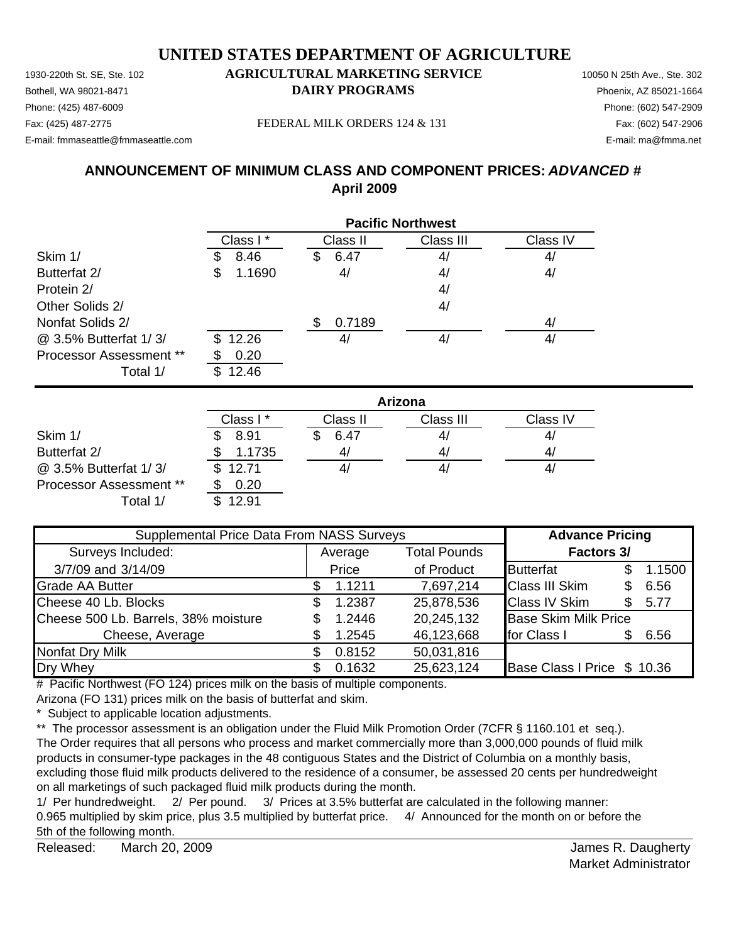1930-220th St. SE, Ste. 102 **AGRICULTURAL MARKETING SERVICE** 10050 N 25th Ave., Ste. 302 Bothell, WA 98021-8471 **DAIRY PROGRAMS** Phoenix, AZ 85021-1664 E-mail: fmmaseattle@fmmaseattle.com E-mail: ma@fmma.net

### Phone: (425) 487-6009 Phone: (602) 547-2909

Fax: (425) 487-2775 FEDERAL MILK ORDERS 124 & 131

### **ANNOUNCEMENT OF MINIMUM CLASS AND COMPONENT PRICES:** *ADVANCED #* **April 2009**

|                                | <b>Pacific Northwest</b> |                   |           |                |  |
|--------------------------------|--------------------------|-------------------|-----------|----------------|--|
|                                | Class I*                 | Class II          | Class III | Class IV       |  |
| Skim 1/                        | 8.46<br>Ъ                | 6.47<br>Ъ         | 4/        | 4 <sub>l</sub> |  |
| Butterfat 2/                   | 1.1690<br>\$             | 4/                | 4/        | 4/             |  |
| Protein 2/                     |                          |                   | 4/        |                |  |
| Other Solids 2/                |                          |                   | 4/        |                |  |
| Nonfat Solids 2/               |                          | 0.7189            |           | 4/             |  |
| @ 3.5% Butterfat 1/3/          | 12.26<br>\$.             | $\mathcal{A}_{l}$ | 4/        | 4,             |  |
| <b>Processor Assessment **</b> | 0.20                     |                   |           |                |  |
| Total 1/                       | 12.46<br>S               |                   |           |                |  |

|                         | Arizona  |          |           |          |  |
|-------------------------|----------|----------|-----------|----------|--|
|                         | Class I* | Class II | Class III | Class IV |  |
| Skim 1/                 | 8.91     | 6.47     | 41        | 4,       |  |
| Butterfat 2/            | 1.1735   |          | 41        | 4/       |  |
| @ 3.5% Butterfat 1/3/   | \$12.71  |          | 41        | 4,       |  |
| Processor Assessment ** | 0.20     |          |           |          |  |
| Total 1/                | 12.91    |          |           |          |  |

| Supplemental Price Data From NASS Surveys |    |         |                     | <b>Advance Pricing</b>      |     |        |
|-------------------------------------------|----|---------|---------------------|-----------------------------|-----|--------|
| Surveys Included:                         |    | Average | <b>Total Pounds</b> | <b>Factors 3/</b>           |     |        |
| 3/7/09 and 3/14/09                        |    | Price   | of Product          | <b>Butterfat</b>            |     | 1.1500 |
| <b>Grade AA Butter</b>                    |    | 1.1211  | 7,697,214           | <b>Class III Skim</b>       | \$. | 6.56   |
| Cheese 40 Lb. Blocks                      | S  | 1.2387  | 25,878,536          | <b>Class IV Skim</b>        |     | 5.77   |
| Cheese 500 Lb. Barrels, 38% moisture      | \$ | 1.2446  | 20,245,132          | <b>Base Skim Milk Price</b> |     |        |
| Cheese, Average                           |    | 1.2545  | 46,123,668          | for Class I                 | \$. | 6.56   |
| Nonfat Dry Milk                           |    | 0.8152  | 50,031,816          |                             |     |        |
| Dry Whey                                  |    | 0.1632  | 25,623,124          | Base Class I Price \$ 10.36 |     |        |

# Pacific Northwest (FO 124) prices milk on the basis of multiple components.

Arizona (FO 131) prices milk on the basis of butterfat and skim.

\* Subject to applicable location adjustments.

\*\* The processor assessment is an obligation under the Fluid Milk Promotion Order (7CFR § 1160.101 et seq.). The Order requires that all persons who process and market commercially more than 3,000,000 pounds of fluid milk products in consumer-type packages in the 48 contiguous States and the District of Columbia on a monthly basis, excluding those fluid milk products delivered to the residence of a consumer, be assessed 20 cents per hundredweight on all marketings of such packaged fluid milk products during the month.

1/ Per hundredweight. 2/ Per pound. 3/ Prices at 3.5% butterfat are calculated in the following manner: 0.965 multiplied by skim price, plus 3.5 multiplied by butterfat price. 4/ Announced for the month on or before the 5th of the following month.

Released: March 20, 2009 **Contract Contract Contract Contract Contract Contract Contract Contract Contract Contract Contract Contract Contract Contract Contract Contract Contract Contract Contract Contract Contract Contrac** March 20, 2009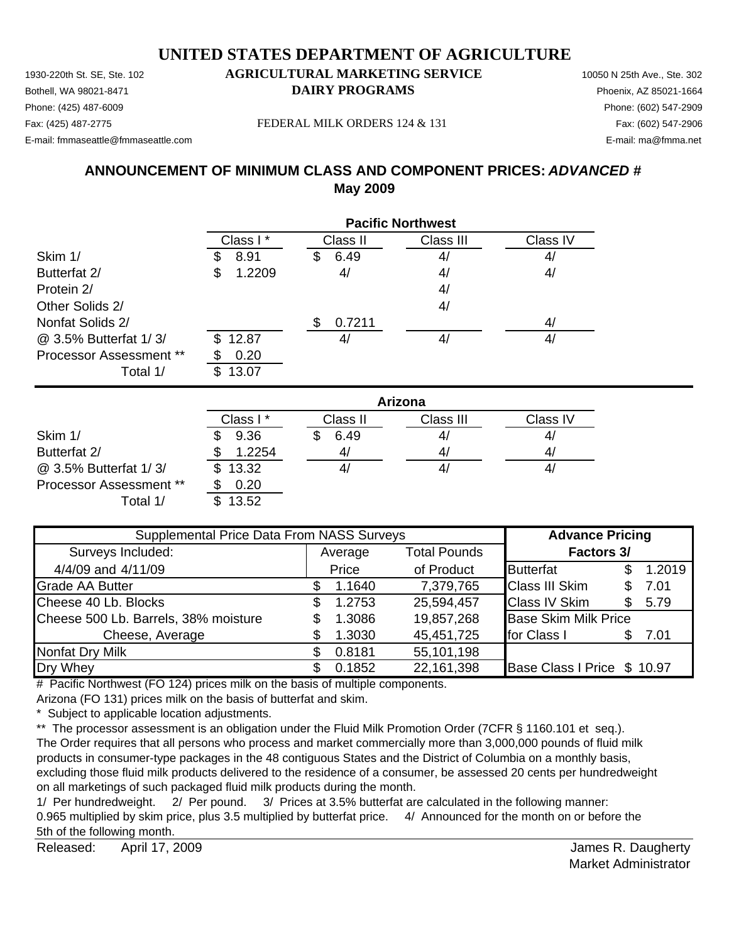1930-220th St. SE, Ste. 102 **AGRICULTURAL MARKETING SERVICE** 10050 N 25th Ave., Ste. 302 Bothell, WA 98021-8471 **DAIRY PROGRAMS** Phoenix, AZ 85021-1664

### Phone: (425) 487-6009 Phone: (602) 547-2909

E-mail: fmmaseattle@fmmaseattle.com E-mail: ma@fmma.net

Fax: (425) 487-2775 FEDERAL MILK ORDERS 124 & 131

### **ANNOUNCEMENT OF MINIMUM CLASS AND COMPONENT PRICES:** *ADVANCED #* **May 2009**

|                                | <b>Pacific Northwest</b> |            |           |          |  |
|--------------------------------|--------------------------|------------|-----------|----------|--|
|                                | Class I*                 | Class II   | Class III | Class IV |  |
| Skim 1/                        | 8.91<br>J                | 6.49<br>\$ | 4/        | 4/       |  |
| Butterfat 2/                   | 1.2209<br>\$             | 4/         | 4/        | 4/       |  |
| Protein 2/                     |                          |            | 4/        |          |  |
| Other Solids 2/                |                          |            | 4/        |          |  |
| Nonfat Solids 2/               |                          | 0.7211     |           | 4/       |  |
| @ 3.5% Butterfat 1/3/          | 12.87<br>\$.             | 41         | 4/        | 4/       |  |
| <b>Processor Assessment **</b> | 0.20                     |            |           |          |  |
| Total 1/                       | 13.07                    |            |           |          |  |

|                         | Arizona  |          |           |                |  |
|-------------------------|----------|----------|-----------|----------------|--|
|                         | Class I* | Class II | Class III | Class IV       |  |
| Skim 1/                 | 9.36     | 6.49     | 41        | 4,             |  |
| Butterfat 2/            | 1.2254   | 41       | 4/        | 4 <sub>l</sub> |  |
| @ 3.5% Butterfat 1/3/   | \$13.32  |          | 41        | 4,             |  |
| Processor Assessment ** | 0.20     |          |           |                |  |
| Total 1/                | 13.52    |          |           |                |  |

| Supplemental Price Data From NASS Surveys |                                |        |                   | <b>Advance Pricing</b>      |     |        |
|-------------------------------------------|--------------------------------|--------|-------------------|-----------------------------|-----|--------|
| Surveys Included:                         | <b>Total Pounds</b><br>Average |        | <b>Factors 3/</b> |                             |     |        |
| 4/4/09 and 4/11/09                        |                                | Price  | of Product        | <b>Butterfat</b>            | \$. | 1.2019 |
| <b>Grade AA Butter</b>                    |                                | 1.1640 | 7,379,765         | <b>Class III Skim</b>       | S.  | 7.01   |
| Cheese 40 Lb. Blocks                      | S                              | 1.2753 | 25,594,457        | <b>Class IV Skim</b>        | \$. | 5.79   |
| Cheese 500 Lb. Barrels, 38% moisture      |                                | 1.3086 | 19,857,268        | <b>Base Skim Milk Price</b> |     |        |
| Cheese, Average                           |                                | 1.3030 | 45,451,725        | for Class I                 | S.  | 7.01   |
| <b>Nonfat Dry Milk</b>                    |                                | 0.8181 | 55,101,198        |                             |     |        |
| Dry Whey                                  |                                | 0.1852 | 22,161,398        | Base Class I Price \$ 10.97 |     |        |

# Pacific Northwest (FO 124) prices milk on the basis of multiple components.

Arizona (FO 131) prices milk on the basis of butterfat and skim.

\* Subject to applicable location adjustments.

\*\* The processor assessment is an obligation under the Fluid Milk Promotion Order (7CFR § 1160.101 et seq.). The Order requires that all persons who process and market commercially more than 3,000,000 pounds of fluid milk products in consumer-type packages in the 48 contiguous States and the District of Columbia on a monthly basis, excluding those fluid milk products delivered to the residence of a consumer, be assessed 20 cents per hundredweight on all marketings of such packaged fluid milk products during the month.

1/ Per hundredweight. 2/ Per pound. 3/ Prices at 3.5% butterfat are calculated in the following manner: 0.965 multiplied by skim price, plus 3.5 multiplied by butterfat price. 4/ Announced for the month on or before the 5th of the following month.

Released: April 17, 2009 **Block and Strutter Control Control Control Control Control Control Control Control Control Control Control Control Control Control Control Control Control Control Control Control Control Control C** April 17, 2009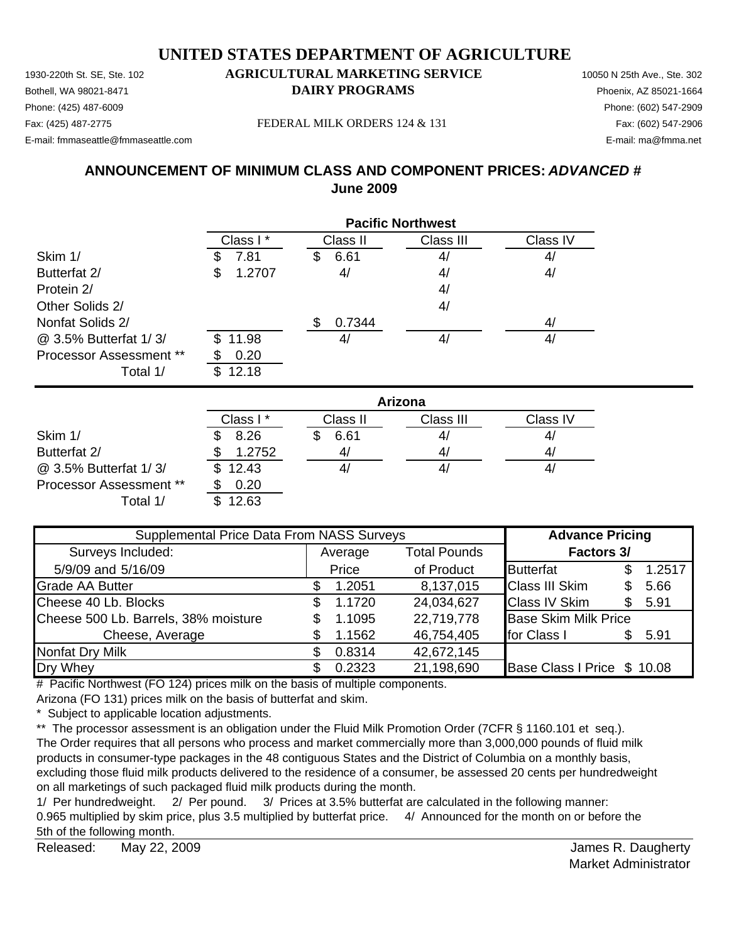1930-220th St. SE, Ste. 102 **AGRICULTURAL MARKETING SERVICE** 10050 N 25th Ave., Ste. 302 Bothell, WA 98021-8471 **DAIRY PROGRAMS** Phoenix, AZ 85021-1664

### Phone: (425) 487-6009 Phone: (602) 547-2909

E-mail: fmmaseattle@fmmaseattle.com E-mail: ma@fmma.net

Fax: (425) 487-2775 FEDERAL MILK ORDERS 124 & 131 Fax: (602) 547-2906

### **ANNOUNCEMENT OF MINIMUM CLASS AND COMPONENT PRICES:** *ADVANCED #* **June 2009**

|                                | <b>Pacific Northwest</b> |           |           |          |  |
|--------------------------------|--------------------------|-----------|-----------|----------|--|
|                                | Class I*                 | Class II  | Class III | Class IV |  |
| Skim 1/                        | 7.81                     | 6.61<br>S | 4/        | 4/       |  |
| Butterfat 2/                   | 1.2707<br>\$             | 4/        | 4/        | 4/       |  |
| Protein 2/                     |                          |           | 4/        |          |  |
| Other Solids 2/                |                          |           | 4/        |          |  |
| Nonfat Solids 2/               |                          | 0.7344    |           | 4/       |  |
| @ 3.5% Butterfat 1/3/          | \$11.98                  | 41        | 4/        | 4/       |  |
| <b>Processor Assessment **</b> | 0.20                     |           |           |          |  |
| Total 1/                       | 12.18<br>\$.             |           |           |          |  |

|                                | Arizona  |          |           |          |  |
|--------------------------------|----------|----------|-----------|----------|--|
|                                | Class I* | Class II | Class III | Class IV |  |
| Skim 1/                        | 8.26     | 6.61     | 4/        | 41       |  |
| Butterfat 2/                   | 1.2752   | 41       | 4/        | 4/       |  |
| @ 3.5% Butterfat 1/3/          | \$12.43  |          | 41        | 4,       |  |
| <b>Processor Assessment **</b> | 0.20     |          |           |          |  |
| Total 1/                       | 12.63    |          |           |          |  |

| Supplemental Price Data From NASS Surveys |    |         |                     | <b>Advance Pricing</b>      |    |        |
|-------------------------------------------|----|---------|---------------------|-----------------------------|----|--------|
| Surveys Included:                         |    | Average | <b>Total Pounds</b> | <b>Factors 3/</b>           |    |        |
| 5/9/09 and 5/16/09                        |    | Price   | of Product          | <b>Butterfat</b>            |    | 1.2517 |
| <b>Grade AA Butter</b>                    |    | 1.2051  | 8,137,015           | <b>Class III Skim</b>       |    | 5.66   |
| Cheese 40 Lb. Blocks                      | \$ | 1.1720  | 24,034,627          | <b>Class IV Skim</b>        | S. | 5.91   |
| Cheese 500 Lb. Barrels, 38% moisture      |    | 1.1095  | 22,719,778          | <b>Base Skim Milk Price</b> |    |        |
| Cheese, Average                           |    | 1.1562  | 46,754,405          | for Class I                 |    | 5.91   |
| <b>Nonfat Dry Milk</b>                    |    | 0.8314  | 42,672,145          |                             |    |        |
| Dry Whey                                  |    | 0.2323  | 21,198,690          | Base Class I Price \$ 10.08 |    |        |

# Pacific Northwest (FO 124) prices milk on the basis of multiple components.

Arizona (FO 131) prices milk on the basis of butterfat and skim.

\* Subject to applicable location adjustments.

\*\* The processor assessment is an obligation under the Fluid Milk Promotion Order (7CFR § 1160.101 et seq.). The Order requires that all persons who process and market commercially more than 3,000,000 pounds of fluid milk products in consumer-type packages in the 48 contiguous States and the District of Columbia on a monthly basis, excluding those fluid milk products delivered to the residence of a consumer, be assessed 20 cents per hundredweight on all marketings of such packaged fluid milk products during the month.

1/ Per hundredweight. 2/ Per pound. 3/ Prices at 3.5% butterfat are calculated in the following manner: 0.965 multiplied by skim price, plus 3.5 multiplied by butterfat price. 4/ Announced for the month on or before the 5th of the following month.

Released: May 22, 2009 **Contract Contract Contract Contract Contract Contract Contract Contract Contract Contract Contract Contract Contract Contract Contract Contract Contract Contract Contract Contract Contract Contract** May 22, 2009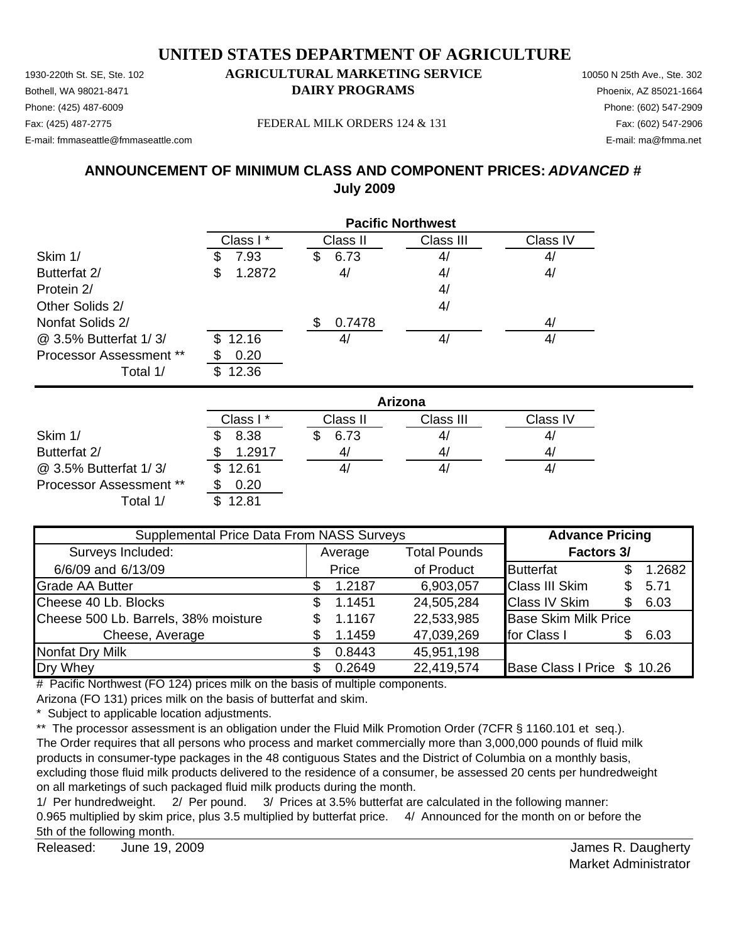1930-220th St. SE, Ste. 102 **AGRICULTURAL MARKETING SERVICE** 10050 N 25th Ave., Ste. 302 Bothell, WA 98021-8471 **DAIRY PROGRAMS** Phoenix, AZ 85021-1664 Phone: (425) 487-6009 Phone: (602) 547-2909

#### Fax: (425) 487-2775 FEDERAL MILK ORDERS 124 & 131

E-mail: fmmaseattle@fmmaseattle.com E-mail: ma@fmma.net

#### **ANNOUNCEMENT OF MINIMUM CLASS AND COMPONENT PRICES:** *ADVANCED #* **July 2009**

|                         | <b>Pacific Northwest</b> |           |           |          |  |
|-------------------------|--------------------------|-----------|-----------|----------|--|
|                         | Class I*                 | Class II  | Class III | Class IV |  |
| Skim 1/                 | 7.93<br>Ъ                | 6.73<br>S | 4/        | 4/       |  |
| Butterfat 2/            | 1.2872<br>\$             | 4/        | 4/        | 4/       |  |
| Protein 2/              |                          |           | 4/        |          |  |
| Other Solids 2/         |                          |           | 4/        |          |  |
| Nonfat Solids 2/        |                          | 0.7478    |           | 4/       |  |
| @ 3.5% Butterfat 1/3/   | \$12.16                  | 4,        | 4/        | 41       |  |
| Processor Assessment ** | 0.20                     |           |           |          |  |
| Total 1/                | 12.36                    |           |           |          |  |

|                                | Arizona  |          |           |          |  |
|--------------------------------|----------|----------|-----------|----------|--|
|                                | Class I* | Class II | Class III | Class IV |  |
| Skim 1/                        | 8.38     | 6.73     | 41        | 4,       |  |
| Butterfat 2/                   | 1.2917   | 4,       | 4/        | 4,       |  |
| @ 3.5% Butterfat 1/3/          | \$12.61  |          | 41        | 4,       |  |
| <b>Processor Assessment **</b> | 0.20     |          |           |          |  |
| Total 1/                       | 12.81    |          |           |          |  |

| Supplemental Price Data From NASS Surveys |     |         |                     | <b>Advance Pricing</b>      |     |        |
|-------------------------------------------|-----|---------|---------------------|-----------------------------|-----|--------|
| Surveys Included:                         |     | Average | <b>Total Pounds</b> | <b>Factors 3/</b>           |     |        |
| 6/6/09 and 6/13/09                        |     | Price   | of Product          | <b>Butterfat</b>            |     | 1.2682 |
| <b>Grade AA Butter</b>                    |     | 1.2187  | 6,903,057           | <b>Class III Skim</b>       | \$. | 5.71   |
| Cheese 40 Lb. Blocks                      | SS. | 1.1451  | 24,505,284          | <b>Class IV Skim</b>        | \$. | 6.03   |
| Cheese 500 Lb. Barrels, 38% moisture      | SS. | 1.1167  | 22,533,985          | <b>Base Skim Milk Price</b> |     |        |
| Cheese, Average                           |     | 1.1459  | 47,039,269          | for Class I                 | \$. | 6.03   |
| Nonfat Dry Milk                           |     | 0.8443  | 45,951,198          |                             |     |        |
| Dry Whey                                  |     | 0.2649  | 22,419,574          | Base Class I Price \$ 10.26 |     |        |

# Pacific Northwest (FO 124) prices milk on the basis of multiple components.

Arizona (FO 131) prices milk on the basis of butterfat and skim.

\* Subject to applicable location adjustments.

\*\* The processor assessment is an obligation under the Fluid Milk Promotion Order (7CFR § 1160.101 et seq.). The Order requires that all persons who process and market commercially more than 3,000,000 pounds of fluid milk products in consumer-type packages in the 48 contiguous States and the District of Columbia on a monthly basis, excluding those fluid milk products delivered to the residence of a consumer, be assessed 20 cents per hundredweight on all marketings of such packaged fluid milk products during the month.

1/ Per hundredweight. 2/ Per pound. 3/ Prices at 3.5% butterfat are calculated in the following manner: 0.965 multiplied by skim price, plus 3.5 multiplied by butterfat price. 4/ Announced for the month on or before the 5th of the following month.

Released: James R. Daugherty June 19, 2009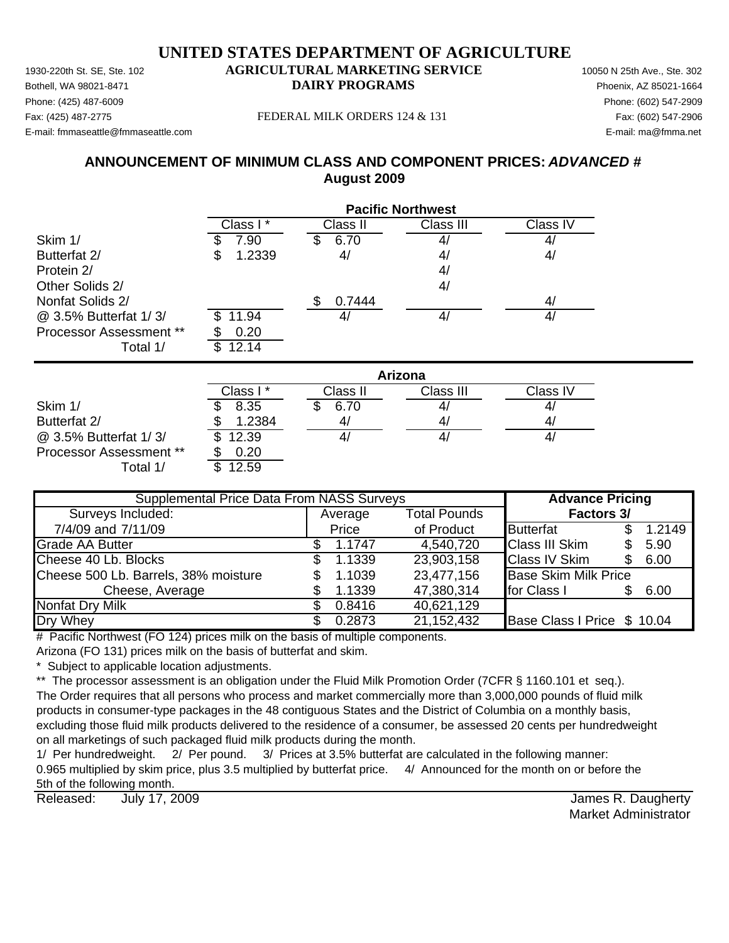Phone: (425) 487-6009 Phone: (602) 547-2909 E-mail: fmmaseattle@fmmaseattle.com E-mail: ma@fmma.net

#### Fax: (425) 487-2775 FEDERAL MILK ORDERS 124 & 131 Fax: (602) 547-2906

#### **ANNOUNCEMENT OF MINIMUM CLASS AND COMPONENT PRICES:** *ADVANCED #* **August 2009**

|                         | <b>Pacific Northwest</b> |                |                |                   |  |  |
|-------------------------|--------------------------|----------------|----------------|-------------------|--|--|
|                         | Class I*                 | Class II       | Class III      | Class IV          |  |  |
| Skim 1/                 | 7.90                     | 6.70<br>\$     | 4,             | $\mathcal{A}_{l}$ |  |  |
| Butterfat 2/            | 1.2339<br>\$             | 4/             | 4/             | 4/                |  |  |
| Protein 2/              |                          |                | 4/             |                   |  |  |
| Other Solids 2/         |                          |                | 4/             |                   |  |  |
| Nonfat Solids 2/        |                          | \$.<br>0.7444  |                | 4/                |  |  |
| @ 3.5% Butterfat 1/3/   | 11.94                    | 4/             | 4/             | 4/                |  |  |
| Processor Assessment ** | 0.20                     |                |                |                   |  |  |
| Total 1/                | 12.14<br>\$              |                |                |                   |  |  |
|                         |                          |                | Arizona        |                   |  |  |
|                         | Class I*                 | Class II       | Class III      | Class IV          |  |  |
| Skim 1/                 | 8.35                     | 6.70           | 4,             | 4,                |  |  |
| $D_1$ $H_2$ $H_2$ + $Q$ | 1.0001                   | $\overline{ }$ | $\overline{A}$ | $\overline{A}$    |  |  |

|                                | Class I * | Class II | Class III | Class IV |
|--------------------------------|-----------|----------|-----------|----------|
| Skim 1/                        | 8.35      | 6.70     | 4,        |          |
| Butterfat 2/                   | 1.2384    | 4/       | 4,        | 4/       |
| @ 3.5% Butterfat 1/3/          | \$12.39   |          | 4,        | 47       |
| <b>Processor Assessment **</b> | 0.20      |          |           |          |
| Total 1/                       | 12.59     |          |           |          |

| <b>Supplemental Price Data From NASS Surveys</b> | <b>Advance Pricing</b> |                     |                             |  |        |
|--------------------------------------------------|------------------------|---------------------|-----------------------------|--|--------|
| Surveys Included:                                | Average                | <b>Total Pounds</b> | <b>Factors 3/</b>           |  |        |
| 7/4/09 and 7/11/09                               | Price                  | of Product          | <b>Butterfat</b>            |  | 1.2149 |
| <b>Grade AA Butter</b>                           | 1.1747                 | 4,540,720           | <b>Class III Skim</b>       |  | 5.90   |
| Cheese 40 Lb. Blocks                             | 1.1339                 | 23,903,158          | <b>Class IV Skim</b>        |  | 6.00   |
| Cheese 500 Lb. Barrels, 38% moisture             | 1.1039                 | 23,477,156          | <b>Base Skim Milk Price</b> |  |        |
| Cheese, Average                                  | 1.1339                 | 47,380,314          | for Class I                 |  | 6.00   |
| Nonfat Dry Milk                                  | 0.8416                 | 40,621,129          |                             |  |        |
| Dry Whey                                         | 0.2873                 | 21,152,432          | Base Class I Price \$ 10.04 |  |        |

 $#$  Pacific Northwest (FO 124) prices milk on the basis of multiple components.

Arizona (FO 131) prices milk on the basis of butterfat and skim.

\* Subject to applicable location adjustments.

\*\* The processor assessment is an obligation under the Fluid Milk Promotion Order (7CFR § 1160.101 et seq.).

The Order requires that all persons who process and market commercially more than 3,000,000 pounds of fluid milk products in consumer-type packages in the 48 contiguous States and the District of Columbia on a monthly basis, excluding those fluid milk products delivered to the residence of a consumer, be assessed 20 cents per hundredweight on all marketings of such packaged fluid milk products during the month.

1/ Per hundredweight. 2/ Per pound. 3/ Prices at 3.5% butterfat are calculated in the following manner: 0.965 multiplied by skim price, plus 3.5 multiplied by butterfat price. 4/ Announced for the month on or before the 5th of the following month.

Released: July 17, 2009 **See Australian Control Control Control Control Control Control Control Control Control Control Control Control Control Control Control Control Control Control Control Control Control Control Contro** July 17, 2009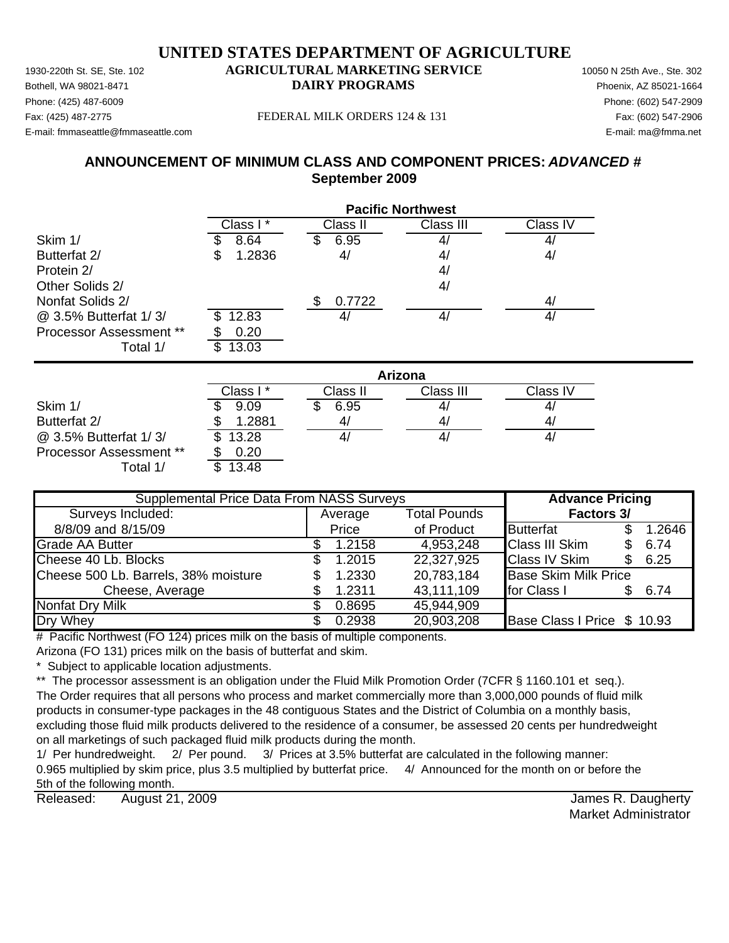Phone: (425) 487-6009 Phone: (602) 547-2909 E-mail: fmmaseattle@fmmaseattle.com E-mail: ma@fmma.net

#### Fax: (425) 487-2775 FEDERAL MILK ORDERS 124 & 131 Fax: (602) 547-2906

#### **ANNOUNCEMENT OF MINIMUM CLASS AND COMPONENT PRICES:** *ADVANCED #* **September 2009**

|                         | <b>Pacific Northwest</b> |              |           |          |  |
|-------------------------|--------------------------|--------------|-----------|----------|--|
|                         | Class I*                 | Class II     | Class III | Class IV |  |
| Skim 1/                 | 8.64                     | 6.95<br>S    | 4,        | 4/       |  |
| Butterfat 2/            | 1.2836<br>S              | 4/           | 4/        | 4/       |  |
| Protein 2/              |                          |              | 4/        |          |  |
| Other Solids 2/         |                          |              | 4/        |          |  |
| Nonfat Solids 2/        |                          | 0.7722<br>\$ |           | 4/       |  |
| @ 3.5% Butterfat 1/3/   | 12.83                    | 4/           | 4/        | 4/       |  |
| Processor Assessment ** | 0.20                     |              |           |          |  |
| Total 1/                | 13.03<br>S               |              |           |          |  |
|                         |                          |              | Arizona   |          |  |
|                         | Class I*                 | Class II     | Class III | Class IV |  |
| Skim 1/                 | 9.09                     | 6.95<br>\$.  | 4         | 4/       |  |
| Butterfat 2/            | 1.2881                   | 4/           | 4/        | 4/       |  |
| @ 3.5% Butterfat 1/3/   | 13.28<br>S               | 4/           | 4/        | 4/       |  |

Processor Assessment \*\* \$ 0.20 Total  $1/$   $\overline{\text{I}3.48}$ 

| <b>Supplemental Price Data From NASS Surveys</b> | <b>Advance Pricing</b> |                     |                             |     |        |
|--------------------------------------------------|------------------------|---------------------|-----------------------------|-----|--------|
| Surveys Included:                                | Average                | <b>Total Pounds</b> | Factors 3/                  |     |        |
| 8/8/09 and 8/15/09                               | Price                  | of Product          | <b>Butterfat</b>            |     | 1.2646 |
| <b>Grade AA Butter</b>                           | 1.2158                 | 4,953,248           | <b>Class III Skim</b>       | \$. | 6.74   |
| Cheese 40 Lb. Blocks                             | 1.2015                 | 22,327,925          | <b>Class IV Skim</b>        | \$. | 6.25   |
| Cheese 500 Lb. Barrels, 38% moisture             | 1.2330                 | 20,783,184          | <b>Base Skim Milk Price</b> |     |        |
| Cheese, Average                                  | 1.2311                 | 43,111,109          | for Class I                 |     | 6.74   |
| Nonfat Dry Milk                                  | 0.8695                 | 45,944,909          |                             |     |        |
| Dry Whey                                         | 0.2938                 | 20,903,208          | Base Class I Price \$ 10.93 |     |        |

 $#$  Pacific Northwest (FO 124) prices milk on the basis of multiple components.

Arizona (FO 131) prices milk on the basis of butterfat and skim.

Subject to applicable location adjustments.

\*\* The processor assessment is an obligation under the Fluid Milk Promotion Order (7CFR § 1160.101 et seq.).

The Order requires that all persons who process and market commercially more than 3,000,000 pounds of fluid milk products in consumer-type packages in the 48 contiguous States and the District of Columbia on a monthly basis, excluding those fluid milk products delivered to the residence of a consumer, be assessed 20 cents per hundredweight on all marketings of such packaged fluid milk products during the month.

1/ Per hundredweight. 2/ Per pound. 3/ Prices at 3.5% butterfat are calculated in the following manner: 0.965 multiplied by skim price, plus 3.5 multiplied by butterfat price. 4/ Announced for the month on or before the 5th of the following month.

Released: August 21, 2009 **August 21, 2009 James R. Daugherty** August 21, 2009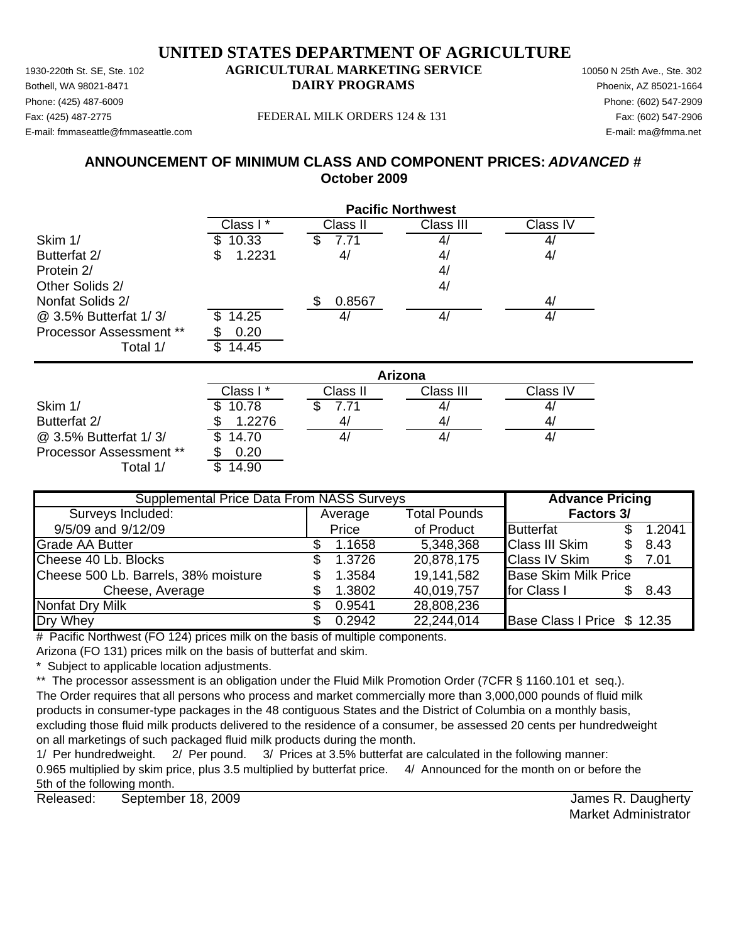Phone: (425) 487-6009 Phone: (602) 547-2909 E-mail: fmmaseattle@fmmaseattle.com E-mail: ma@fmma.net

#### Fax: (425) 487-2775 FEDERAL MILK ORDERS 124 & 131 Fax: (602) 547-2906

#### **ANNOUNCEMENT OF MINIMUM CLASS AND COMPONENT PRICES:** *ADVANCED #* **October 2009**

|                                |              |              | <b>Pacific Northwest</b> |           |
|--------------------------------|--------------|--------------|--------------------------|-----------|
|                                | Class I*     | Class II     | Class III                | Class IV  |
| Skim 1/                        | 10.33<br>\$  | 7.71<br>S    | 4,                       | 4/        |
| Butterfat 2/                   | 1.2231<br>\$ | 4/           | 4,                       | 4/        |
| Protein 2/                     |              |              | 4 <sub>l</sub>           |           |
| Other Solids 2/                |              |              | 4/                       |           |
| Nonfat Solids 2/               |              | \$<br>0.8567 |                          | 4/        |
| @ 3.5% Butterfat 1/3/          | 14.25<br>\$. | 4/           | 4/                       | 4/        |
| <b>Processor Assessment **</b> | 0.20         |              |                          |           |
| Total 1/                       | \$<br>14.45  |              |                          |           |
|                                |              |              | <b>Arizona</b>           |           |
|                                | Class I*     | Class II     | Class III                | Class IV  |
| Skim 1/                        | 10.78        | 7.71         | 4,                       | 4/        |
| Butterfat 2/                   | 1.2276       | 4/           | 4/                       | 4/        |
| $\omega$ 3 5% Ruttorfat 1/3/   | ¢<br>14.70   | $\Lambda$ /  | $\Lambda$ /              | $\Lambda$ |

@ 3.5% Butterfat 1/ 3/ 14.70 \$ 4/ 4/ 4/ Processor Assessment \*\* \$ 0.20 Total  $1/$   $\overline{\phantom{1}3.14.90}$ 

Average Total Pounds 9/5/09 and 9/12/09 **Price** of Product Butterfat \$ 1.2041 Grade AA Butter 1.1658 \$ 1.1658 5,348,368 Class III Skim \$ 8.43 Cheese 40 Lb. Blocks 1.3726 \$ 20,878,175 Class IV Skim 7.01 \$ Cheese 500 Lb. Barrels, 38% moisture  $\begin{array}{ccc} \text{$} & 1.3584 & 19,141,582 \end{array}$  Base Skim Milk Price Cheese, Average **1.3802** 40,019,757 for Class 1 \$ 8.43 Nonfat Dry Milk  $$ 0.9541 28,808,236$ Dry Whey **6.2942 6.2942 22,244,014 Base Class I Price \$12.35 Supplemental Price Data From NASS Surveys The Advance Pricing** Surveys Included: **Factors 3/**

# Pacific Northwest (FO 124) prices milk on the basis of multiple components.

Arizona (FO 131) prices milk on the basis of butterfat and skim.

Subject to applicable location adjustments.

\*\* The processor assessment is an obligation under the Fluid Milk Promotion Order (7CFR § 1160.101 et seq.).

The Order requires that all persons who process and market commercially more than 3,000,000 pounds of fluid milk products in consumer-type packages in the 48 contiguous States and the District of Columbia on a monthly basis, excluding those fluid milk products delivered to the residence of a consumer, be assessed 20 cents per hundredweight on all marketings of such packaged fluid milk products during the month.

1/ Per hundredweight. 2/ Per pound. 3/ Prices at 3.5% butterfat are calculated in the following manner: 0.965 multiplied by skim price, plus 3.5 multiplied by butterfat price. 4/ Announced for the month on or before the 5th of the following month.

Released: September 18, 2009 **September 18, 2009** September 18, 2009 September 19, 2009 September 18, 2009 September 18, 2009 September 18, 2009 September 18, 2009 September 18, 2009 September 18, 2009 September 18, 2009 S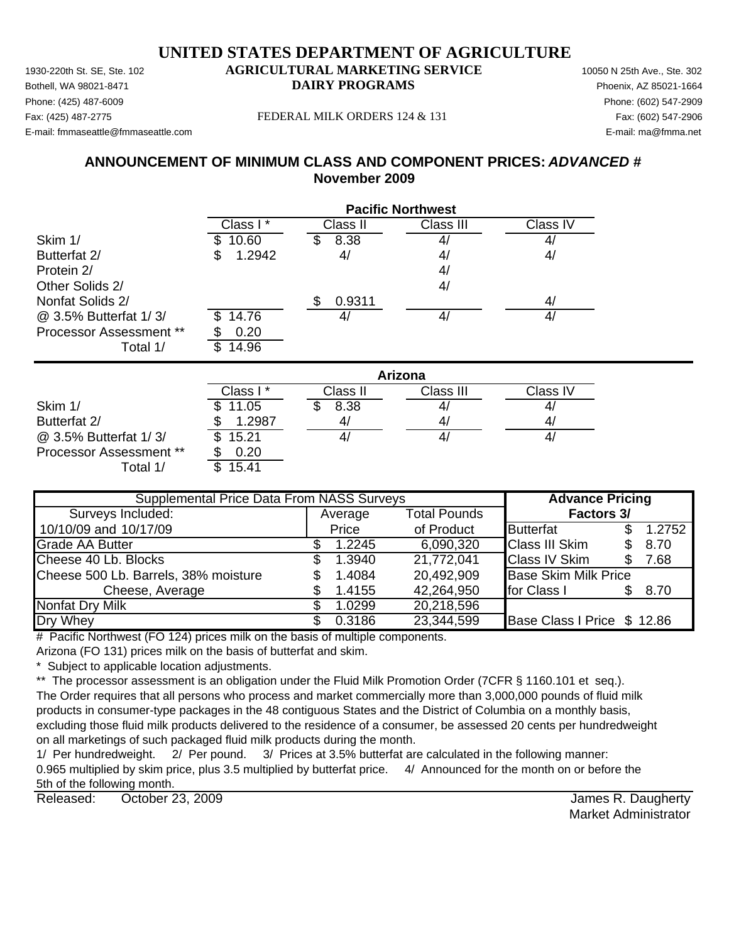Phone: (425) 487-6009 Phone: (602) 547-2909 E-mail: fmmaseattle@fmmaseattle.com E-mail: ma@fmma.net

#### Fax: (425) 487-2775 FEDERAL MILK ORDERS 124 & 131 Fax: (602) 547-2906

#### **ANNOUNCEMENT OF MINIMUM CLASS AND COMPONENT PRICES:** *ADVANCED #* **November 2009**

|                         | <b>Pacific Northwest</b> |               |           |          |  |  |
|-------------------------|--------------------------|---------------|-----------|----------|--|--|
|                         | Class I*                 | Class II      | Class III | Class IV |  |  |
| Skim 1/                 | 10.60                    | 8.38          |           | 4,       |  |  |
| Butterfat 2/            | 1.2942<br>S              | 4/            | 4/        | 4/       |  |  |
| Protein 2/              |                          |               | 4/        |          |  |  |
| Other Solids 2/         |                          |               | 4/        |          |  |  |
| Nonfat Solids 2/        |                          | 0.9311<br>\$. |           | 4/       |  |  |
| @ 3.5% Butterfat 1/3/   | 14.76                    | 4/            |           | 41       |  |  |
| Processor Assessment ** | 0.20                     |               |           |          |  |  |
| Total 1/                | \$<br>14.96              |               |           |          |  |  |
|                         |                          |               | Arizona   |          |  |  |
|                         | Class I*                 | Class II      | Class III | Class IV |  |  |
| Skim 1/                 | 11.05                    | 8.38          |           |          |  |  |
| Ruttorfat 2/            | 1 2087                   | $\Delta l$    | ΔI        | ΔI       |  |  |

|                                | י טשוש  | יו טשוש | יוו טשוש | <b>VIUVV I V</b> |
|--------------------------------|---------|---------|----------|------------------|
| Skim 1/                        | \$11.05 | 8.38    | 4,       | 4                |
| Butterfat 2/                   | 1.2987  | 4/      |          | 4                |
| @ 3.5% Butterfat 1/3/          | \$15.21 |         |          | 4                |
| <b>Processor Assessment **</b> | 0.20    |         |          |                  |
| Γotal 1,                       | 15.41   |         |          |                  |

| <b>Supplemental Price Data From NASS Surveys</b> | <b>Advance Pricing</b> |         |                     |                             |  |        |
|--------------------------------------------------|------------------------|---------|---------------------|-----------------------------|--|--------|
| Surveys Included:                                |                        | Average | <b>Total Pounds</b> | Factors 3/                  |  |        |
| 10/10/09 and 10/17/09                            |                        | Price   | of Product          | Butterfat                   |  | 1.2752 |
| <b>Grade AA Butter</b>                           |                        | 1.2245  | 6,090,320           | <b>Class III Skim</b>       |  | 8.70   |
| Cheese 40 Lb. Blocks                             | æ.                     | 1.3940  | 21,772,041          | <b>Class IV Skim</b>        |  | 7.68   |
| Cheese 500 Lb. Barrels, 38% moisture             |                        | 1.4084  | 20,492,909          | <b>Base Skim Milk Price</b> |  |        |
| Cheese, Average                                  |                        | 1.4155  | 42,264,950          | for Class I                 |  | 8.70   |
| Nonfat Dry Milk                                  |                        | 1.0299  | 20,218,596          |                             |  |        |
| Dry Whey                                         |                        | 0.3186  | 23,344,599          | Base Class I Price \$ 12.86 |  |        |

 $#$  Pacific Northwest (FO 124) prices milk on the basis of multiple components.

Arizona (FO 131) prices milk on the basis of butterfat and skim.

\* Subject to applicable location adjustments.

\*\* The processor assessment is an obligation under the Fluid Milk Promotion Order (7CFR § 1160.101 et seq.).

The Order requires that all persons who process and market commercially more than 3,000,000 pounds of fluid milk products in consumer-type packages in the 48 contiguous States and the District of Columbia on a monthly basis, excluding those fluid milk products delivered to the residence of a consumer, be assessed 20 cents per hundredweight on all marketings of such packaged fluid milk products during the month.

1/ Per hundredweight. 2/ Per pound. 3/ Prices at 3.5% butterfat are calculated in the following manner: 0.965 multiplied by skim price, plus 3.5 multiplied by butterfat price. 4/ Announced for the month on or before the 5th of the following month.

Released: October 23, 2009 **Seleased:** Corresponding to the United States of the United States A. Daugherty October 23, 2009